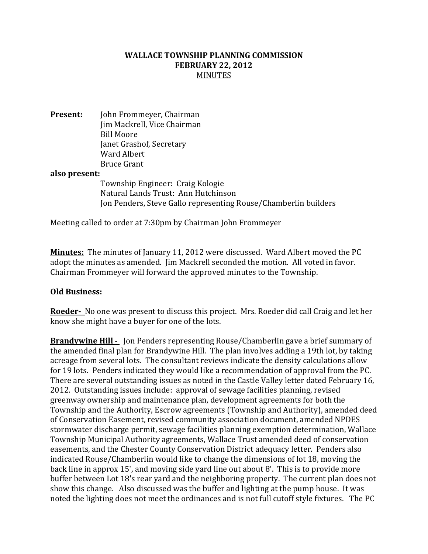## WALLACE TOWNSHIP PLANNING COMMISSION FEBRUARY 22, 2012 **MINUTES**

Present: John Frommeyer, Chairman Jim Mackrell, Vice Chairman Bill Moore Janet Grashof, Secretary Ward Albert Bruce Grant

## also present:

 Township Engineer: Craig Kologie Natural Lands Trust: Ann Hutchinson Jon Penders, Steve Gallo representing Rouse/Chamberlin builders

Meeting called to order at 7:30pm by Chairman John Frommeyer

Minutes: The minutes of January 11, 2012 were discussed. Ward Albert moved the PC adopt the minutes as amended. Jim Mackrell seconded the motion. All voted in favor. Chairman Frommeyer will forward the approved minutes to the Township.

## Old Business:

Roeder-No one was present to discuss this project. Mrs. Roeder did call Craig and let her know she might have a buyer for one of the lots.

Brandywine Hill - Jon Penders representing Rouse/Chamberlin gave a brief summary of the amended final plan for Brandywine Hill. The plan involves adding a 19th lot, by taking acreage from several lots. The consultant reviews indicate the density calculations allow for 19 lots. Penders indicated they would like a recommendation of approval from the PC. There are several outstanding issues as noted in the Castle Valley letter dated February 16, 2012. Outstanding issues include: approval of sewage facilities planning, revised greenway ownership and maintenance plan, development agreements for both the Township and the Authority, Escrow agreements (Township and Authority), amended deed of Conservation Easement, revised community association document, amended NPDES stormwater discharge permit, sewage facilities planning exemption determination, Wallace Township Municipal Authority agreements, Wallace Trust amended deed of conservation easements, and the Chester County Conservation District adequacy letter. Penders also indicated Rouse/Chamberlin would like to change the dimensions of lot 18, moving the back line in approx 15', and moving side yard line out about 8'. This is to provide more buffer between Lot 18's rear yard and the neighboring property. The current plan does not show this change. Also discussed was the buffer and lighting at the pump house. It was noted the lighting does not meet the ordinances and is not full cutoff style fixtures. The PC